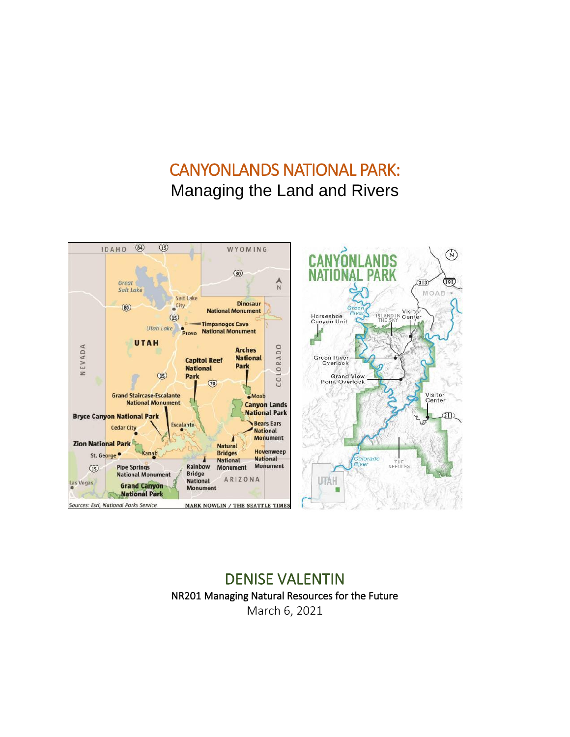# CANYONLANDS NATIONAL PARK: Managing the Land and Rivers



# DENISE VALENTIN NR201 Managing Natural Resources for the Future March 6, 2021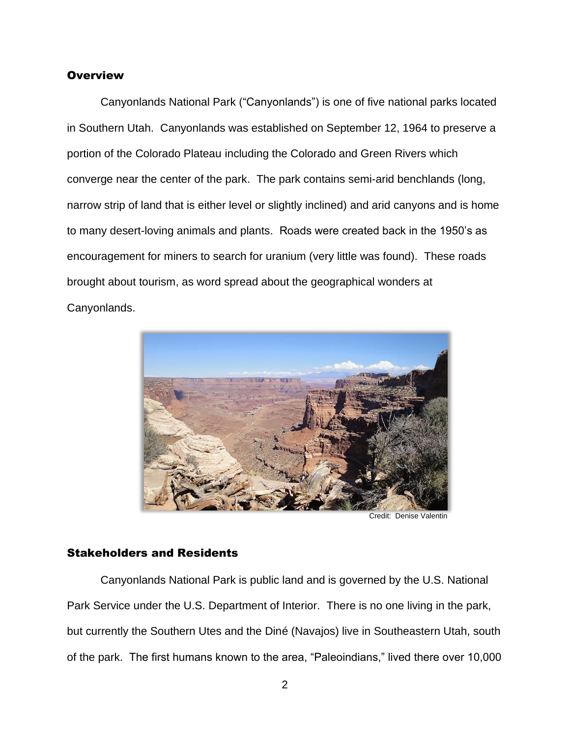#### **Overview**

Canyonlands National Park ("Canyonlands") is one of five national parks located in Southern Utah. Canyonlands was established on September 12, 1964 to preserve a portion of the Colorado Plateau including the Colorado and Green Rivers which converge near the center of the park. The park contains semi-arid benchlands (long, narrow strip of land that is either level or slightly inclined) and arid canyons and is home to many desert-loving animals and plants. Roads were created back in the 1950's as encouragement for miners to search for uranium (very little was found). These roads brought about tourism, as word spread about the geographical wonders at Canyonlands.



Credit: Denise Valentin

#### Stakeholders and Residents

Canyonlands National Park is public land and is governed by the U.S. National Park Service under the U.S. Department of Interior. There is no one living in the park, but currently the Southern Utes and the Diné (Navajos) live in Southeastern Utah, south of the park. The first humans known to the area, "Paleoindians," lived there over 10,000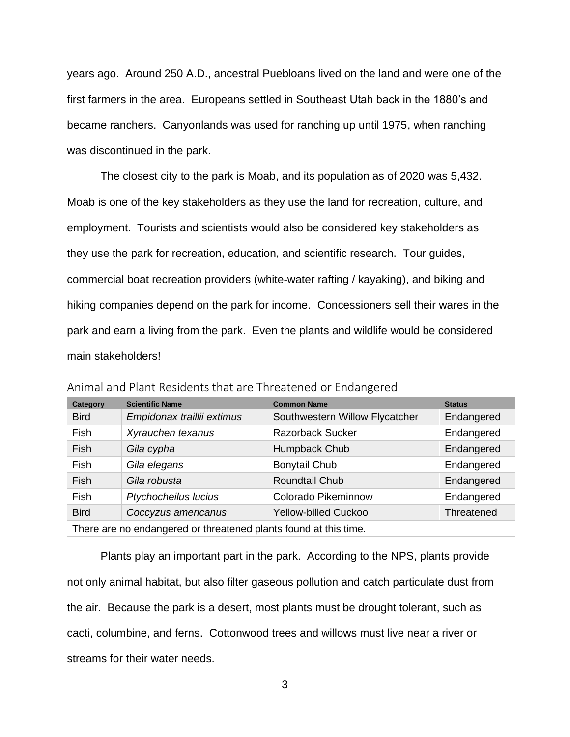years ago. Around 250 A.D., ancestral Puebloans lived on the land and were one of the first farmers in the area. Europeans settled in Southeast Utah back in the 1880's and became ranchers. Canyonlands was used for ranching up until 1975, when ranching was discontinued in the park.

The closest city to the park is Moab, and its population as of 2020 was 5,432. Moab is one of the key stakeholders as they use the land for recreation, culture, and employment. Tourists and scientists would also be considered key stakeholders as they use the park for recreation, education, and scientific research. Tour guides, commercial boat recreation providers (white-water rafting / kayaking), and biking and hiking companies depend on the park for income. Concessioners sell their wares in the park and earn a living from the park. Even the plants and wildlife would be considered main stakeholders!

| Category                                                         | <b>Scientific Name</b>     | <b>Common Name</b>             | <b>Status</b> |  |
|------------------------------------------------------------------|----------------------------|--------------------------------|---------------|--|
| <b>Bird</b>                                                      | Empidonax traillii extimus | Southwestern Willow Flycatcher | Endangered    |  |
| Fish                                                             | Xyrauchen texanus          | <b>Razorback Sucker</b>        | Endangered    |  |
| Fish                                                             | Gila cypha                 | Humpback Chub                  | Endangered    |  |
| Fish                                                             | Gila elegans               | <b>Bonytail Chub</b>           | Endangered    |  |
| Fish                                                             | Gila robusta               | Roundtail Chub                 | Endangered    |  |
| Fish                                                             | Ptychocheilus lucius       | Colorado Pikeminnow            | Endangered    |  |
| <b>Bird</b>                                                      | Coccyzus americanus        | Yellow-billed Cuckoo           | Threatened    |  |
| There are no endangered or threatened plants found at this time. |                            |                                |               |  |

Animal and Plant Residents that are Threatened or Endangered

Plants play an important part in the park. According to the NPS, plants provide not only animal habitat, but also filter gaseous pollution and catch particulate dust from the air. Because the park is a desert, most plants must be drought tolerant, such as cacti, columbine, and ferns. Cottonwood trees and willows must live near a river or streams for their water needs.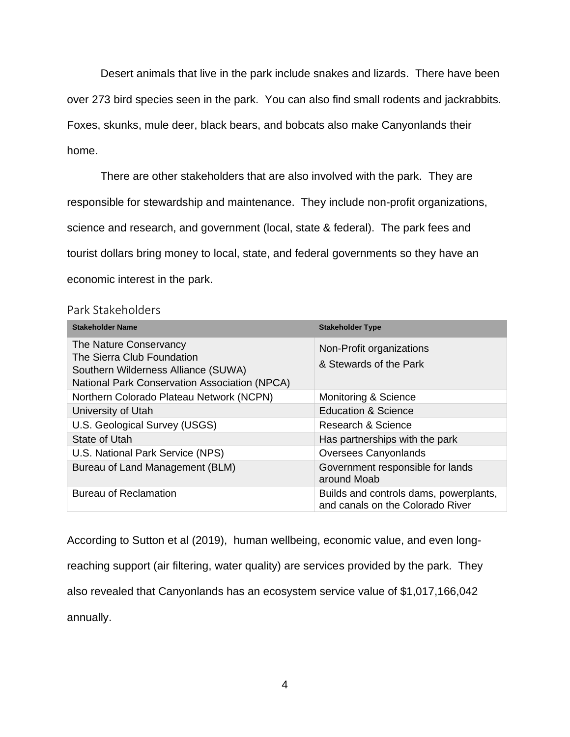Desert animals that live in the park include snakes and lizards. There have been over 273 bird species seen in the park. You can also find small rodents and jackrabbits. Foxes, skunks, mule deer, black bears, and bobcats also make Canyonlands their home.

There are other stakeholders that are also involved with the park. They are responsible for stewardship and maintenance. They include non-profit organizations, science and research, and government (local, state & federal). The park fees and tourist dollars bring money to local, state, and federal governments so they have an economic interest in the park.

#### Park Stakeholders

| <b>Stakeholder Name</b>                                                                                                                      | <b>Stakeholder Type</b>                                                    |  |
|----------------------------------------------------------------------------------------------------------------------------------------------|----------------------------------------------------------------------------|--|
| The Nature Conservancy<br>The Sierra Club Foundation<br>Southern Wilderness Alliance (SUWA)<br>National Park Conservation Association (NPCA) | Non-Profit organizations<br>& Stewards of the Park                         |  |
| Northern Colorado Plateau Network (NCPN)                                                                                                     | Monitoring & Science                                                       |  |
| University of Utah                                                                                                                           | <b>Education &amp; Science</b>                                             |  |
| U.S. Geological Survey (USGS)                                                                                                                | Research & Science                                                         |  |
| State of Utah                                                                                                                                | Has partnerships with the park                                             |  |
| U.S. National Park Service (NPS)                                                                                                             | <b>Oversees Canyonlands</b>                                                |  |
| Bureau of Land Management (BLM)                                                                                                              | Government responsible for lands<br>around Moab                            |  |
| <b>Bureau of Reclamation</b>                                                                                                                 | Builds and controls dams, powerplants,<br>and canals on the Colorado River |  |

According to Sutton et al (2019), human wellbeing, economic value, and even longreaching support (air filtering, water quality) are services provided by the park. They also revealed that Canyonlands has an ecosystem service value of \$1,017,166,042 annually.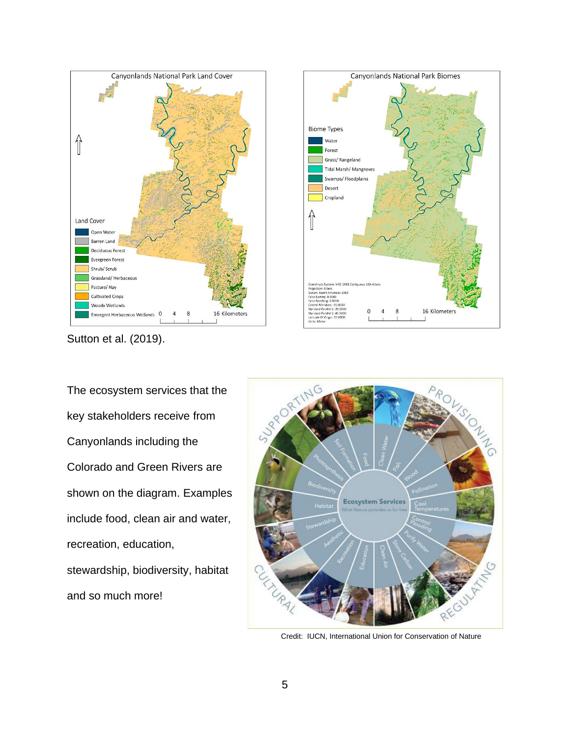



Sutton et al. (2019).

The ecosystem services that the key stakeholders receive from Canyonlands including the Colorado and Green Rivers are shown on the diagram. Examples include food, clean air and water, recreation, education, stewardship, biodiversity, habitat and so much more!



Credit: IUCN, International Union for Conservation of Nature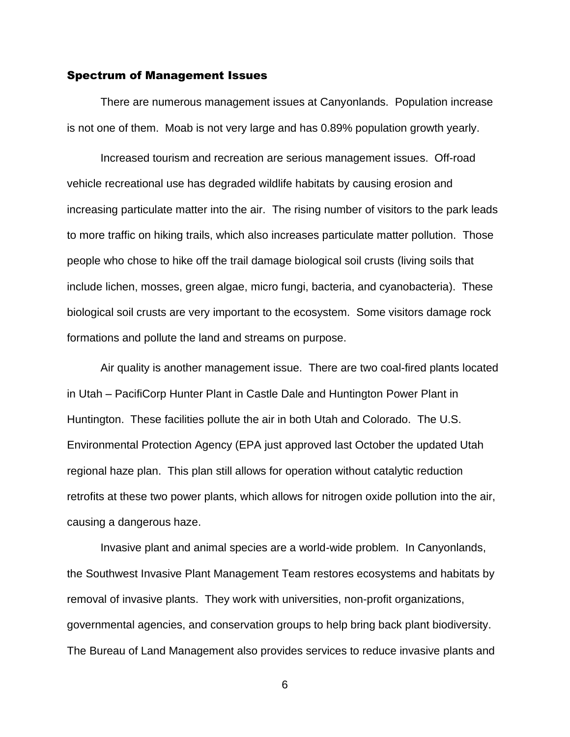#### Spectrum of Management Issues

There are numerous management issues at Canyonlands. Population increase is not one of them. Moab is not very large and has 0.89% population growth yearly.

Increased tourism and recreation are serious management issues. Off-road vehicle recreational use has degraded wildlife habitats by causing erosion and increasing particulate matter into the air. The rising number of visitors to the park leads to more traffic on hiking trails, which also increases particulate matter pollution. Those people who chose to hike off the trail damage biological soil crusts (living soils that include lichen, mosses, green algae, micro fungi, bacteria, and cyanobacteria). These biological soil crusts are very important to the ecosystem. Some visitors damage rock formations and pollute the land and streams on purpose.

Air quality is another management issue. There are two coal-fired plants located in Utah – PacifiCorp Hunter Plant in Castle Dale and Huntington Power Plant in Huntington. These facilities pollute the air in both Utah and Colorado. The U.S. Environmental Protection Agency (EPA just approved last October the updated Utah regional haze plan. This plan still allows for operation without catalytic reduction retrofits at these two power plants, which allows for nitrogen oxide pollution into the air, causing a dangerous haze.

Invasive plant and animal species are a world-wide problem. In Canyonlands, the Southwest Invasive Plant Management Team restores ecosystems and habitats by removal of invasive plants. They work with universities, non-profit organizations, governmental agencies, and conservation groups to help bring back plant biodiversity. The Bureau of Land Management also provides services to reduce invasive plants and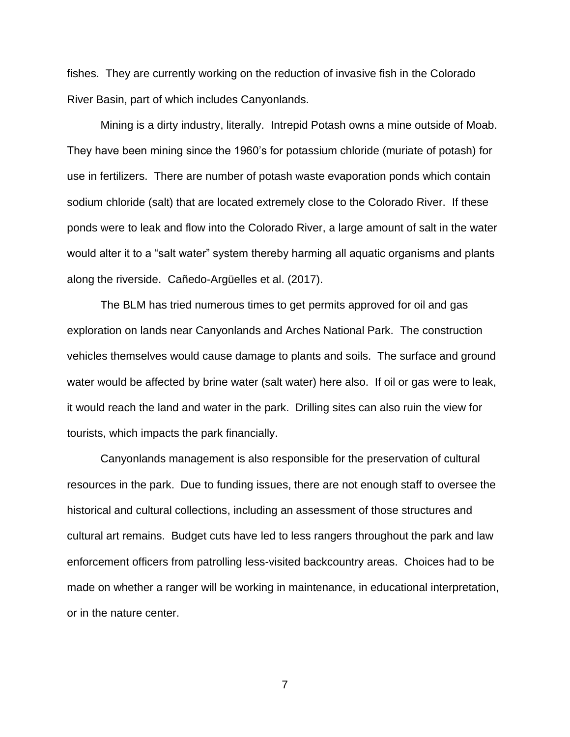fishes. They are currently working on the reduction of invasive fish in the Colorado River Basin, part of which includes Canyonlands.

Mining is a dirty industry, literally. Intrepid Potash owns a mine outside of Moab. They have been mining since the 1960's for potassium chloride (muriate of potash) for use in fertilizers. There are number of potash waste evaporation ponds which contain sodium chloride (salt) that are located extremely close to the Colorado River. If these ponds were to leak and flow into the Colorado River, a large amount of salt in the water would alter it to a "salt water" system thereby harming all aquatic organisms and plants along the riverside. Cañedo-Argüelles et al. (2017).

The BLM has tried numerous times to get permits approved for oil and gas exploration on lands near Canyonlands and Arches National Park. The construction vehicles themselves would cause damage to plants and soils. The surface and ground water would be affected by brine water (salt water) here also. If oil or gas were to leak, it would reach the land and water in the park. Drilling sites can also ruin the view for tourists, which impacts the park financially.

Canyonlands management is also responsible for the preservation of cultural resources in the park. Due to funding issues, there are not enough staff to oversee the historical and cultural collections, including an assessment of those structures and cultural art remains. Budget cuts have led to less rangers throughout the park and law enforcement officers from patrolling less-visited backcountry areas. Choices had to be made on whether a ranger will be working in maintenance, in educational interpretation, or in the nature center.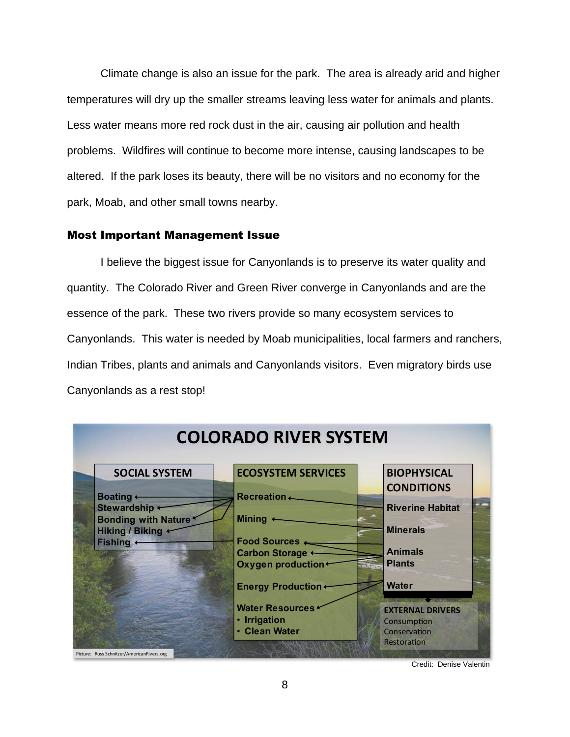Climate change is also an issue for the park. The area is already arid and higher temperatures will dry up the smaller streams leaving less water for animals and plants. Less water means more red rock dust in the air, causing air pollution and health problems. Wildfires will continue to become more intense, causing landscapes to be altered. If the park loses its beauty, there will be no visitors and no economy for the park, Moab, and other small towns nearby.

#### Most Important Management Issue

I believe the biggest issue for Canyonlands is to preserve its water quality and quantity. The Colorado River and Green River converge in Canyonlands and are the essence of the park. These two rivers provide so many ecosystem services to Canyonlands. This water is needed by Moab municipalities, local farmers and ranchers, Indian Tribes, plants and animals and Canyonlands visitors. Even migratory birds use Canyonlands as a rest stop!



Credit: Denise Valentin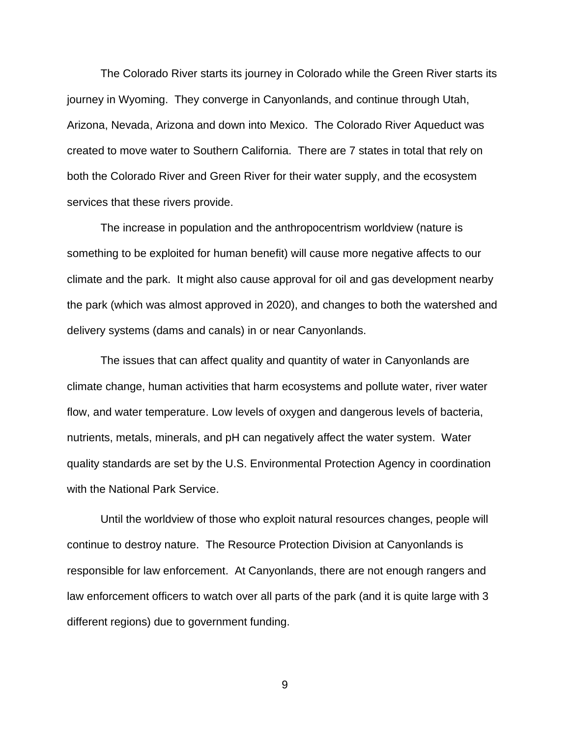The Colorado River starts its journey in Colorado while the Green River starts its journey in Wyoming. They converge in Canyonlands, and continue through Utah, Arizona, Nevada, Arizona and down into Mexico. The Colorado River Aqueduct was created to move water to Southern California. There are 7 states in total that rely on both the Colorado River and Green River for their water supply, and the ecosystem services that these rivers provide.

The increase in population and the anthropocentrism worldview (nature is something to be exploited for human benefit) will cause more negative affects to our climate and the park. It might also cause approval for oil and gas development nearby the park (which was almost approved in 2020), and changes to both the watershed and delivery systems (dams and canals) in or near Canyonlands.

The issues that can affect quality and quantity of water in Canyonlands are climate change, human activities that harm ecosystems and pollute water, river water flow, and water temperature. Low levels of oxygen and dangerous levels of bacteria, nutrients, metals, minerals, and pH can negatively affect the water system. Water quality standards are set by the U.S. Environmental Protection Agency in coordination with the National Park Service.

Until the worldview of those who exploit natural resources changes, people will continue to destroy nature. The Resource Protection Division at Canyonlands is responsible for law enforcement. At Canyonlands, there are not enough rangers and law enforcement officers to watch over all parts of the park (and it is quite large with 3 different regions) due to government funding.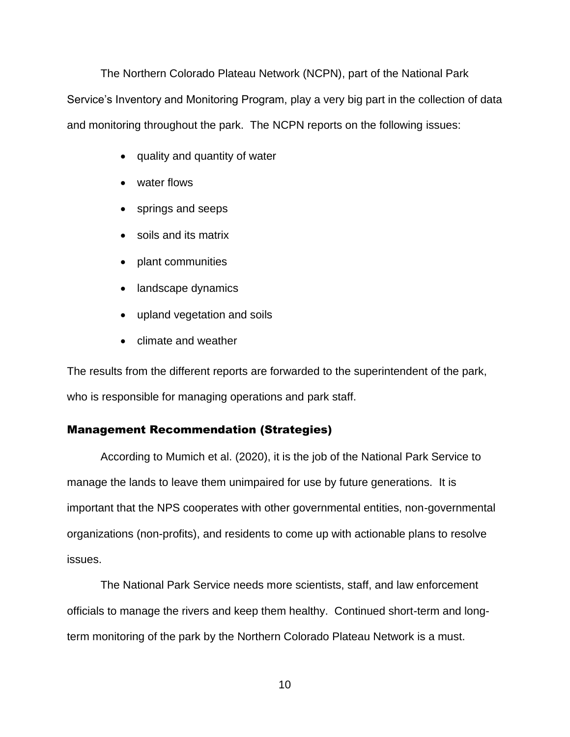The Northern Colorado Plateau Network (NCPN), part of the National Park Service's Inventory and Monitoring Program, play a very big part in the collection of data and monitoring throughout the park. The NCPN reports on the following issues:

- quality and quantity of water
- water flows
- springs and seeps
- soils and its matrix
- plant communities
- landscape dynamics
- upland vegetation and soils
- climate and weather

The results from the different reports are forwarded to the superintendent of the park, who is responsible for managing operations and park staff.

## Management Recommendation (Strategies)

According to Mumich et al. (2020), it is the job of the National Park Service to manage the lands to leave them unimpaired for use by future generations. It is important that the NPS cooperates with other governmental entities, non-governmental organizations (non-profits), and residents to come up with actionable plans to resolve issues.

The National Park Service needs more scientists, staff, and law enforcement officials to manage the rivers and keep them healthy. Continued short-term and longterm monitoring of the park by the Northern Colorado Plateau Network is a must.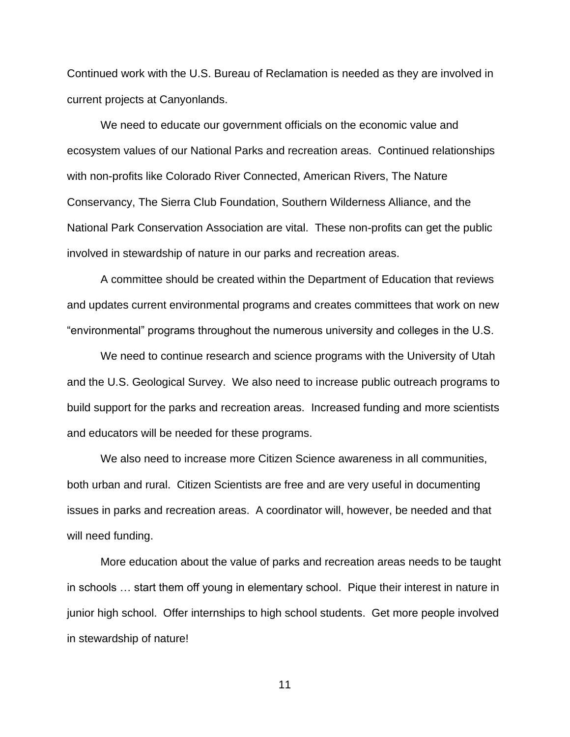Continued work with the U.S. Bureau of Reclamation is needed as they are involved in current projects at Canyonlands.

We need to educate our government officials on the economic value and ecosystem values of our National Parks and recreation areas. Continued relationships with non-profits like Colorado River Connected, American Rivers, The Nature Conservancy, The Sierra Club Foundation, Southern Wilderness Alliance, and the National Park Conservation Association are vital. These non-profits can get the public involved in stewardship of nature in our parks and recreation areas.

A committee should be created within the Department of Education that reviews and updates current environmental programs and creates committees that work on new "environmental" programs throughout the numerous university and colleges in the U.S.

We need to continue research and science programs with the University of Utah and the U.S. Geological Survey. We also need to increase public outreach programs to build support for the parks and recreation areas. Increased funding and more scientists and educators will be needed for these programs.

We also need to increase more Citizen Science awareness in all communities, both urban and rural. Citizen Scientists are free and are very useful in documenting issues in parks and recreation areas. A coordinator will, however, be needed and that will need funding.

More education about the value of parks and recreation areas needs to be taught in schools … start them off young in elementary school. Pique their interest in nature in junior high school. Offer internships to high school students. Get more people involved in stewardship of nature!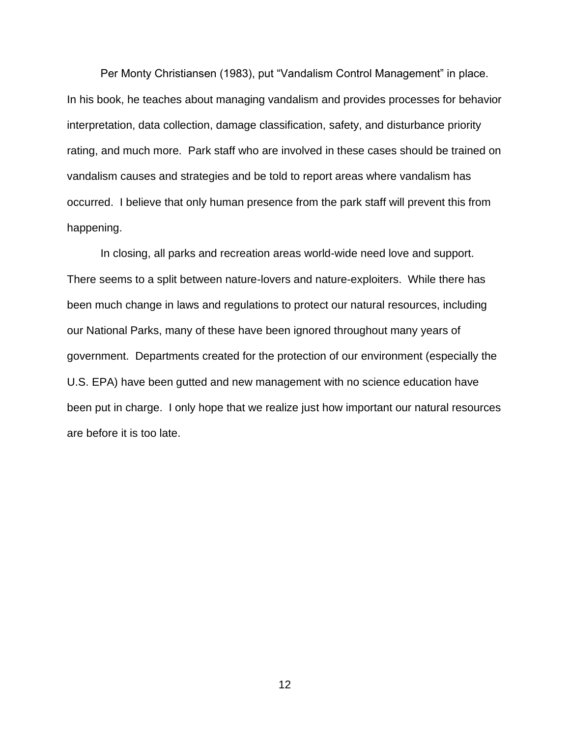Per Monty Christiansen (1983), put "Vandalism Control Management" in place. In his book, he teaches about managing vandalism and provides processes for behavior interpretation, data collection, damage classification, safety, and disturbance priority rating, and much more. Park staff who are involved in these cases should be trained on vandalism causes and strategies and be told to report areas where vandalism has occurred. I believe that only human presence from the park staff will prevent this from happening.

In closing, all parks and recreation areas world-wide need love and support. There seems to a split between nature-lovers and nature-exploiters. While there has been much change in laws and regulations to protect our natural resources, including our National Parks, many of these have been ignored throughout many years of government. Departments created for the protection of our environment (especially the U.S. EPA) have been gutted and new management with no science education have been put in charge. I only hope that we realize just how important our natural resources are before it is too late.